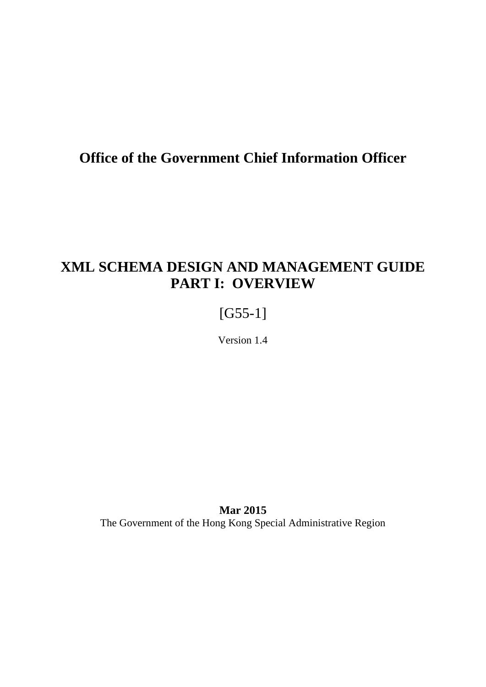# **Office of the Government Chief Information Officer**

# **XML SCHEMA DESIGN AND MANAGEMENT GUIDE PART I: OVERVIEW**

# [G55-1]

Version 1.4

**Mar 2015** The Government of the Hong Kong Special Administrative Region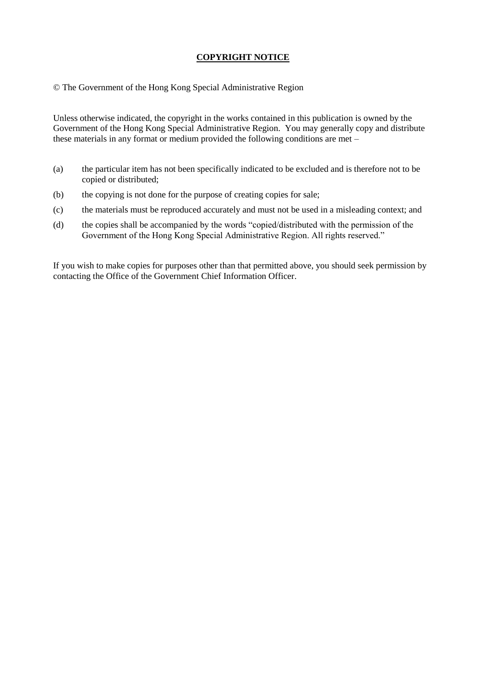### **COPYRIGHT NOTICE**

© The Government of the Hong Kong Special Administrative Region

Unless otherwise indicated, the copyright in the works contained in this publication is owned by the Government of the Hong Kong Special Administrative Region. You may generally copy and distribute these materials in any format or medium provided the following conditions are met –

- (a) the particular item has not been specifically indicated to be excluded and is therefore not to be copied or distributed;
- (b) the copying is not done for the purpose of creating copies for sale;
- (c) the materials must be reproduced accurately and must not be used in a misleading context; and
- (d) the copies shall be accompanied by the words "copied/distributed with the permission of the Government of the Hong Kong Special Administrative Region. All rights reserved."

If you wish to make copies for purposes other than that permitted above, you should seek permission by contacting the Office of the Government Chief Information Officer.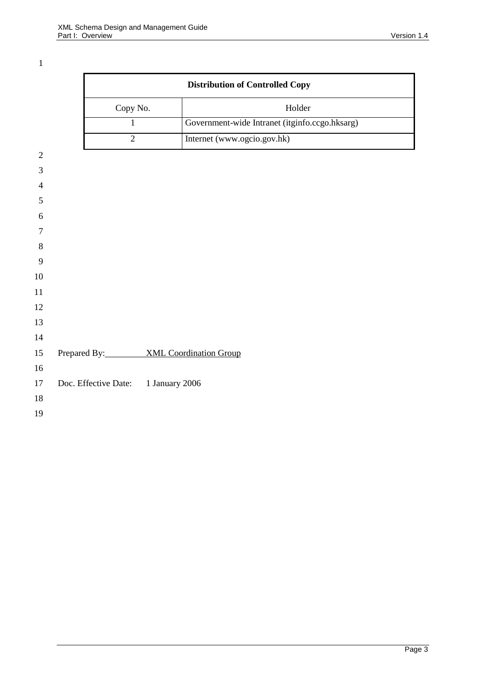|                |                                     |                | <b>Distribution of Controlled Copy</b>         |  |  |
|----------------|-------------------------------------|----------------|------------------------------------------------|--|--|
|                | Copy No.                            |                | Holder                                         |  |  |
|                |                                     | 1              | Government-wide Intranet (itginfo.ccgo.hksarg) |  |  |
|                |                                     | $\overline{2}$ | Internet (www.ogcio.gov.hk)                    |  |  |
| $\sqrt{2}$     |                                     |                |                                                |  |  |
| 3              |                                     |                |                                                |  |  |
| $\overline{4}$ |                                     |                |                                                |  |  |
| $\mathfrak{S}$ |                                     |                |                                                |  |  |
| 6              |                                     |                |                                                |  |  |
| $\tau$         |                                     |                |                                                |  |  |
| $8\phantom{1}$ |                                     |                |                                                |  |  |
| 9              |                                     |                |                                                |  |  |
| 10             |                                     |                |                                                |  |  |
| 11             |                                     |                |                                                |  |  |
| 12             |                                     |                |                                                |  |  |
| 13             |                                     |                |                                                |  |  |
| 14             |                                     |                |                                                |  |  |
| 15             | Prepared By: XML Coordination Group |                |                                                |  |  |
| 16             |                                     |                |                                                |  |  |
| 17             | Doc. Effective Date:                | 1 January 2006 |                                                |  |  |
| 18             |                                     |                |                                                |  |  |
| 19             |                                     |                |                                                |  |  |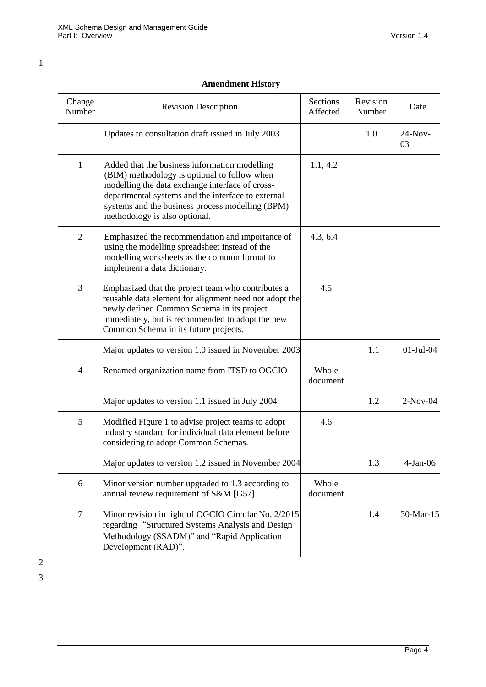1

|                  | <b>Amendment History</b>                                                                                                                                                                                                                                                                    |                      |                    |                 |
|------------------|---------------------------------------------------------------------------------------------------------------------------------------------------------------------------------------------------------------------------------------------------------------------------------------------|----------------------|--------------------|-----------------|
| Change<br>Number | <b>Revision Description</b>                                                                                                                                                                                                                                                                 | Sections<br>Affected | Revision<br>Number | Date            |
|                  | Updates to consultation draft issued in July 2003                                                                                                                                                                                                                                           |                      | 1.0                | $24-Nov-$<br>03 |
| $\mathbf{1}$     | Added that the business information modelling<br>(BIM) methodology is optional to follow when<br>modelling the data exchange interface of cross-<br>departmental systems and the interface to external<br>systems and the business process modelling (BPM)<br>methodology is also optional. | 1.1, 4.2             |                    |                 |
| $\overline{2}$   | Emphasized the recommendation and importance of<br>using the modelling spreadsheet instead of the<br>modelling worksheets as the common format to<br>implement a data dictionary.                                                                                                           | 4.3, 6.4             |                    |                 |
| 3                | Emphasized that the project team who contributes a<br>reusable data element for alignment need not adopt the<br>newly defined Common Schema in its project<br>immediately, but is recommended to adopt the new<br>Common Schema in its future projects.                                     | 4.5                  |                    |                 |
|                  | Major updates to version 1.0 issued in November 2003                                                                                                                                                                                                                                        |                      | 1.1                | $01$ -Jul- $04$ |
| 4                | Renamed organization name from ITSD to OGCIO                                                                                                                                                                                                                                                | Whole<br>document    |                    |                 |
|                  | Major updates to version 1.1 issued in July 2004                                                                                                                                                                                                                                            |                      | 1.2                | $2-Nov-04$      |
| 5                | Modified Figure 1 to advise project teams to adopt<br>industry standard for individual data element before<br>considering to adopt Common Schemas.                                                                                                                                          | 4.6                  |                    |                 |
|                  | Major updates to version 1.2 issued in November 2004                                                                                                                                                                                                                                        |                      | 1.3                | $4-Jan-06$      |
| 6                | Minor version number upgraded to 1.3 according to<br>annual review requirement of S&M [G57].                                                                                                                                                                                                | Whole<br>document    |                    |                 |
| $\overline{7}$   | Minor revision in light of OGCIO Circular No. 2/2015<br>regarding "Structured Systems Analysis and Design<br>Methodology (SSADM)" and "Rapid Application<br>Development (RAD)".                                                                                                             |                      | 1.4                | 30-Mar-15       |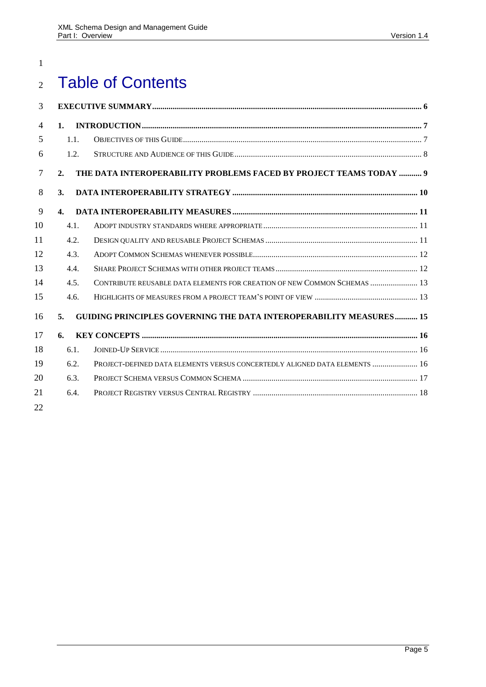# Table of Contents

| 3              |                |                                                                            |  |
|----------------|----------------|----------------------------------------------------------------------------|--|
| $\overline{4}$ | 1 <sub>1</sub> |                                                                            |  |
| 5              | 1.1.           |                                                                            |  |
| 6              | 1.2.           |                                                                            |  |
| $\overline{7}$ | 2.             | THE DATA INTEROPERABILITY PROBLEMS FACED BY PROJECT TEAMS TODAY  9         |  |
| 8              | 3.             |                                                                            |  |
| 9              | $\mathbf{4}$ . |                                                                            |  |
| 10             | 4.1.           |                                                                            |  |
| 11             | 4.2.           |                                                                            |  |
| 12             | 4.3.           |                                                                            |  |
| 13             | 4.4.           |                                                                            |  |
| 14             | 4.5.           | CONTRIBUTE REUSABLE DATA ELEMENTS FOR CREATION OF NEW COMMON SCHEMAS  13   |  |
| 15             | 4.6.           |                                                                            |  |
| 16             | 5.             | GUIDING PRINCIPLES GOVERNING THE DATA INTEROPERABILITY MEASURES 15         |  |
| 17             | 6.             |                                                                            |  |
| 18             | 6.1.           |                                                                            |  |
| 19             | 6.2.           | PROJECT-DEFINED DATA ELEMENTS VERSUS CONCERTEDLY ALIGNED DATA ELEMENTS  16 |  |
| 20             | 6.3.           |                                                                            |  |
| 21             | 6.4.           |                                                                            |  |
| 22             |                |                                                                            |  |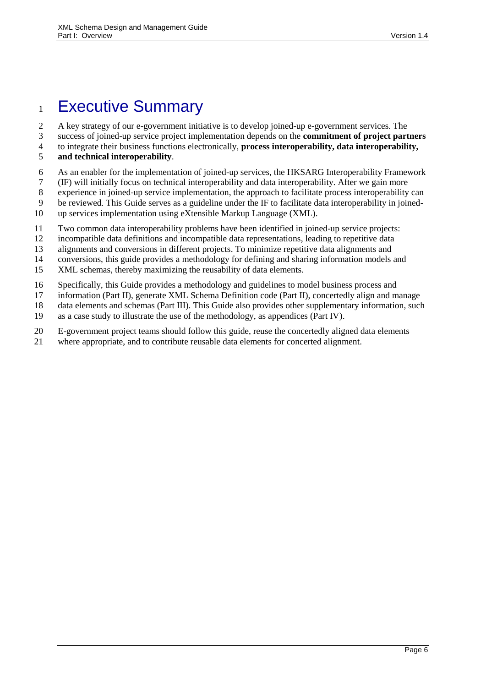# <span id="page-5-0"></span>Executive Summary

A key strategy of our e-government initiative is to develop joined-up e-government services. The

success of joined-up service project implementation depends on the **commitment of project partners**

to integrate their business functions electronically, **process interoperability, data interoperability,** 

- **and technical interoperability**.
- As an enabler for the implementation of joined-up services, the HKSARG Interoperability Framework
- (IF) will initially focus on technical interoperability and data interoperability. After we gain more
- experience in joined-up service implementation, the approach to facilitate process interoperability can
- be reviewed. This Guide serves as a guideline under the IF to facilitate data interoperability in joined-
- up services implementation using eXtensible Markup Language (XML).
- Two common data interoperability problems have been identified in joined-up service projects:
- incompatible data definitions and incompatible data representations, leading to repetitive data
- alignments and conversions in different projects. To minimize repetitive data alignments and
- conversions, this guide provides a methodology for defining and sharing information models and
- XML schemas, thereby maximizing the reusability of data elements.
- Specifically, this Guide provides a methodology and guidelines to model business process and
- information (Part II), generate XML Schema Definition code (Part II), concertedly align and manage
- data elements and schemas (Part III). This Guide also provides other supplementary information, such
- as a case study to illustrate the use of the methodology, as appendices (Part IV).
- E-government project teams should follow this guide, reuse the concertedly aligned data elements
- where appropriate, and to contribute reusable data elements for concerted alignment.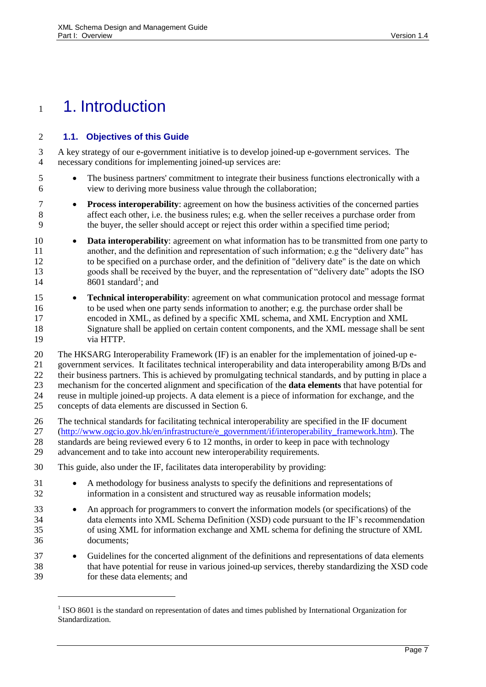# <span id="page-6-1"></span>1. Introduction

l

### <span id="page-6-0"></span>**1.1. Objectives of this Guide**

 A key strategy of our e-government initiative is to develop joined-up e-government services. The necessary conditions for implementing joined-up services are:

- The business partners' commitment to integrate their business functions electronically with a view to deriving more business value through the collaboration;
- **Process interoperability**: agreement on how the business activities of the concerned parties affect each other, i.e. the business rules; e.g. when the seller receives a purchase order from the buyer, the seller should accept or reject this order within a specified time period;
- **Data interoperability**: agreement on what information has to be transmitted from one party to another, and the definition and representation of such information; e.g the "delivery date" has to be specified on a purchase order, and the definition of "delivery date" is the date on which goods shall be received by the buyer, and the representation of "delivery date" adopts the ISO  $8601$  standard<sup>1</sup>; and
- **Technical interoperability**: agreement on what communication protocol and message format to be used when one party sends information to another; e.g. the purchase order shall be encoded in XML, as defined by a specific XML schema, and XML Encryption and XML Signature shall be applied on certain content components, and the XML message shall be sent via HTTP.

 The HKSARG Interoperability Framework (IF) is an enabler for the implementation of joined-up e- government services. It facilitates technical interoperability and data interoperability among B/Ds and their business partners. This is achieved by promulgating technical standards, and by putting in place a mechanism for the concerted alignment and specification of the **data elements** that have potential for reuse in multiple joined-up projects. A data element is a piece of information for exchange, and the concepts of data elements are discussed in Section [6.](#page-15-0)

- The technical standards for facilitating technical interoperability are specified in the IF document
- [\(http://www.ogcio.gov.hk/en/infrastructure/e\\_government/if/interoperability\\_framework.htm\)](http://www.ogcio.gov.hk/en/infrastructure/e_government/if/interoperability_framework.htm). The
- standards are being reviewed every 6 to 12 months, in order to keep in pace with technology advancement and to take into account new interoperability requirements.
- This guide, also under the IF, facilitates data interoperability by providing:
- 31 A methodology for business analysts to specify the definitions and representations of information in a consistent and structured way as reusable information models;
- 33 An approach for programmers to convert the information models (or specifications) of the data elements into XML Schema Definition (XSD) code pursuant to the IF's recommendation of using XML for information exchange and XML schema for defining the structure of XML documents;
- Guidelines for the concerted alignment of the definitions and representations of data elements that have potential for reuse in various joined-up services, thereby standardizing the XSD code for these data elements; and

<sup>&</sup>lt;sup>1</sup> ISO 8601 is the standard on representation of dates and times published by International Organization for Standardization.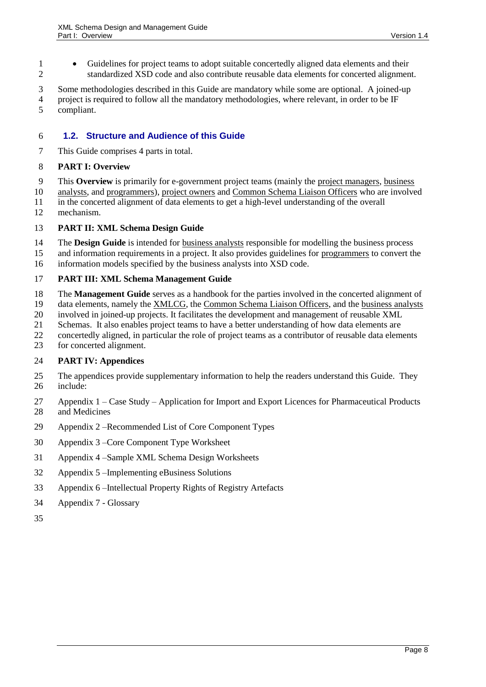Guidelines for project teams to adopt suitable concertedly aligned data elements and their standardized XSD code and also contribute reusable data elements for concerted alignment.

 Some methodologies described in this Guide are mandatory while some are optional. A joined-up project is required to follow all the mandatory methodologies, where relevant, in order to be IF compliant.

#### <span id="page-7-0"></span>**1.2. Structure and Audience of this Guide**

This Guide comprises 4 parts in total.

#### **PART I: Overview**

- This **Overview** is primarily for e-government project teams (mainly the project managers, business
- analysts, and programmers), project owners and Common Schema Liaison Officers who are involved in the concerted alignment of data elements to get a high-level understanding of the overall
- mechanism.
- 

# **PART II: XML Schema Design Guide**

- The **Design Guide** is intended for business analysts responsible for modelling the business process
- and information requirements in a project. It also provides guidelines for programmers to convert the information models specified by the business analysts into XSD code.

#### **PART III: XML Schema Management Guide**

- The **Management Guide** serves as a handbook for the parties involved in the concerted alignment of
- data elements, namely the XMLCG, the Common Schema Liaison Officers, and the business analysts
- involved in joined-up projects. It facilitates the development and management of reusable XML
- Schemas. It also enables project teams to have a better understanding of how data elements are
- concertedly aligned, in particular the role of project teams as a contributor of reusable data elements
- for concerted alignment.

### **PART IV: Appendices**

- The appendices provide supplementary information to help the readers understand this Guide. They include:
- Appendix 1 Case Study Application for Import and Export Licences for Pharmaceutical Products and Medicines
- Appendix 2 –Recommended List of Core Component Types
- Appendix 3 –Core Component Type Worksheet
- Appendix 4 –Sample XML Schema Design Worksheets
- Appendix 5 –Implementing eBusiness Solutions
- Appendix 6 –Intellectual Property Rights of Registry Artefacts
- Appendix 7 Glossary
-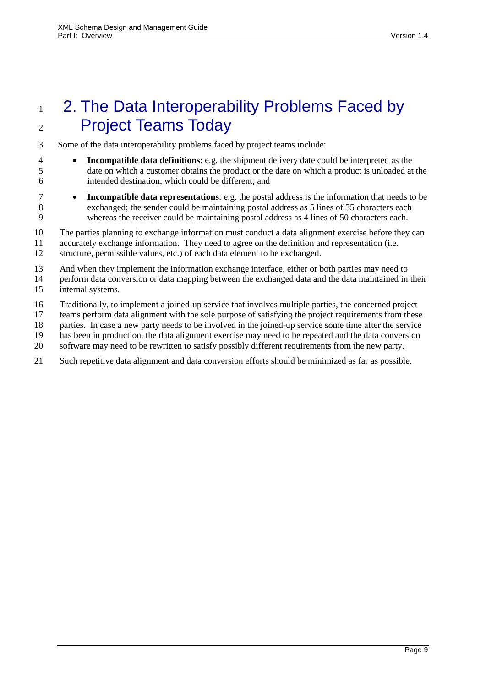# <span id="page-8-0"></span>1 2. The Data Interoperability Problems Faced by Project Teams Today

Some of the data interoperability problems faced by project teams include:

- **Incompatible data definitions**: e.g. the shipment delivery date could be interpreted as the date on which a customer obtains the product or the date on which a product is unloaded at the intended destination, which could be different; and
- **Incompatible data representations**: e.g. the postal address is the information that needs to be exchanged; the sender could be maintaining postal address as 5 lines of 35 characters each whereas the receiver could be maintaining postal address as 4 lines of 50 characters each.

The parties planning to exchange information must conduct a data alignment exercise before they can

 accurately exchange information. They need to agree on the definition and representation (i.e. structure, permissible values, etc.) of each data element to be exchanged.

And when they implement the information exchange interface, either or both parties may need to

 perform data conversion or data mapping between the exchanged data and the data maintained in their internal systems.

Traditionally, to implement a joined-up service that involves multiple parties, the concerned project

teams perform data alignment with the sole purpose of satisfying the project requirements from these

- parties. In case a new party needs to be involved in the joined-up service some time after the service
- has been in production, the data alignment exercise may need to be repeated and the data conversion
- software may need to be rewritten to satisfy possibly different requirements from the new party.
- Such repetitive data alignment and data conversion efforts should be minimized as far as possible.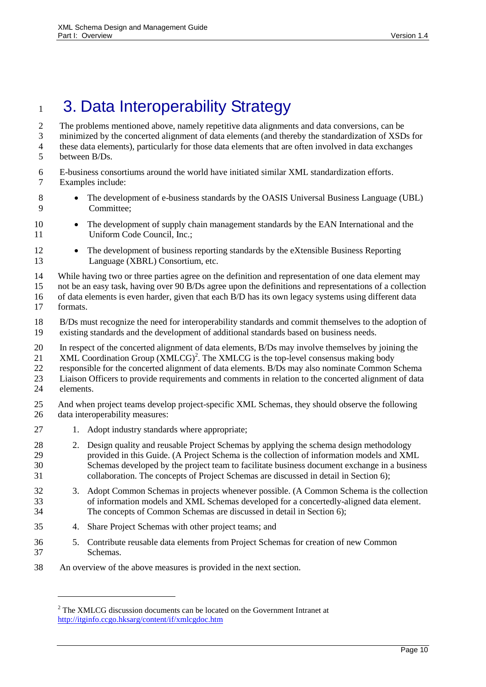# <span id="page-9-0"></span>1 3. Data Interoperability Strategy

 The problems mentioned above, namely repetitive data alignments and data conversions, can be minimized by the concerted alignment of data elements (and thereby the standardization of XSDs for these data elements), particularly for those data elements that are often involved in data exchanges between B/Ds. E-business consortiums around the world have initiated similar XML standardization efforts.

- 
- Examples include:

l

- 8 The development of e-business standards by the OASIS Universal Business Language (UBL) Committee;
- 10 The development of supply chain management standards by the EAN International and the 11 Uniform Code Council, Inc.;
- 12 The development of business reporting standards by the eXtensible Business Reporting Language (XBRL) Consortium, etc.
- While having two or three parties agree on the definition and representation of one data element may
- not be an easy task, having over 90 B/Ds agree upon the definitions and representations of a collection
- of data elements is even harder, given that each B/D has its own legacy systems using different data formats.
- B/Ds must recognize the need for interoperability standards and commit themselves to the adoption of existing standards and the development of additional standards based on business needs.
- In respect of the concerted alignment of data elements, B/Ds may involve themselves by joining the
- 21 XML Coordination Group  $(XMLCG)^2$ . The XMLCG is the top-level consensus making body
- responsible for the concerted alignment of data elements. B/Ds may also nominate Common Schema
- Liaison Officers to provide requirements and comments in relation to the concerted alignment of data elements.
- And when project teams develop project-specific XML Schemas, they should observe the following data interoperability measures:
- 27 1. Adopt industry standards where appropriate;
- 28 2. Design quality and reusable Project Schemas by applying the schema design methodology provided in this Guide. (A Project Schema is the collection of information models and XML Schemas developed by the project team to facilitate business document exchange in a business collaboration. The concepts of Project Schemas are discussed in detail in Section [6\)](#page-15-0);
- 3. Adopt Common Schemas in projects whenever possible. (A Common Schema is the collection of information models and XML Schemas developed for a concertedly-aligned data element. The concepts of Common Schemas are discussed in detail in Section [6\)](#page-15-0);
- 4. Share Project Schemas with other project teams; and
- 5. Contribute reusable data elements from Project Schemas for creation of new Common Schemas.
- An overview of the above measures is provided in the next section.

<sup>&</sup>lt;sup>2</sup> The XMLCG discussion documents can be located on the Government Intranet at <http://itginfo.ccgo.hksarg/content/if/xmlcgdoc.htm>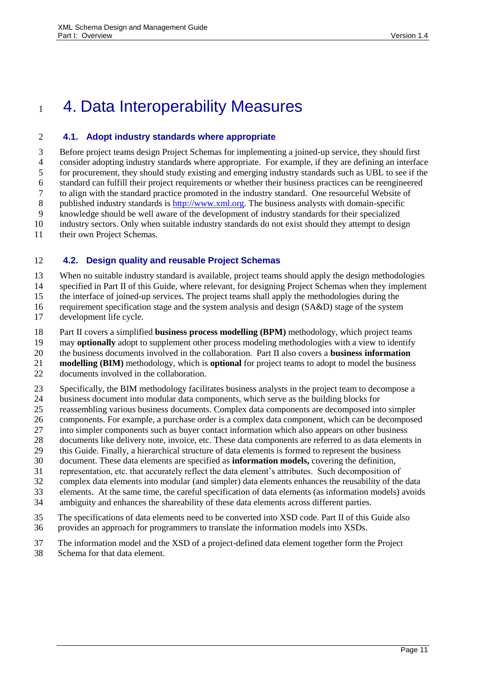# <span id="page-10-1"></span>1 4. Data Interoperability Measures

### <span id="page-10-2"></span>**4.1. Adopt industry standards where appropriate**

 Before project teams design Project Schemas for implementing a joined-up service, they should first consider adopting industry standards where appropriate. For example, if they are defining an interface for procurement, they should study existing and emerging industry standards such as UBL to see if the standard can fulfill their project requirements or whether their business practices can be reengineered to align with the standard practice promoted in the industry standard. One resourceful Website of published industry standards is [http://www.xml.org.](http://www.xml.org/) The business analysts with domain-specific knowledge should be well aware of the development of industry standards for their specialized industry sectors. Only when suitable industry standards do not exist should they attempt to design 11 their own Project Schemas.

# <span id="page-10-0"></span>**4.2. Design quality and reusable Project Schemas**

When no suitable industry standard is available, project teams should apply the design methodologies

specified in Part II of this Guide, where relevant, for designing Project Schemas when they implement

the interface of joined-up services. The project teams shall apply the methodologies during the

 requirement specification stage and the system analysis and design (SA&D) stage of the system development life cycle.

Part II covers a simplified **business process modelling (BPM)** methodology, which project teams

may **optionally** adopt to supplement other process modeling methodologies with a view to identify

the business documents involved in the collaboration. Part II also covers a **business information** 

**modelling (BIM)** methodology, which is **optional** for project teams to adopt to model the business

documents involved in the collaboration.

Specifically, the BIM methodology facilitates business analysts in the project team to decompose a

24 business document into modular data components, which serve as the building blocks for reassembling various business documents. Complex data components are decomposed int

reassembling various business documents. Complex data components are decomposed into simpler

components. For example, a purchase order is a complex data component, which can be decomposed

- into simpler components such as buyer contact information which also appears on other business
- documents like delivery note, invoice, etc. These data components are referred to as data elements in
- this Guide. Finally, a hierarchical structure of data elements is formed to represent the business document. These data elements are specified as **information models,** covering the definition,
- representation, etc. that accurately reflect the data element's attributes. Such decomposition of
- complex data elements into modular (and simpler) data elements enhances the reusability of the data
- elements. At the same time, the careful specification of data elements (as information models) avoids
- ambiguity and enhances the shareability of these data elements across different parties.

 The specifications of data elements need to be converted into XSD code. Part II of this Guide also provides an approach for programmers to translate the information models into XSDs.

- The information model and the XSD of a project-defined data element together form the Project
- Schema for that data element.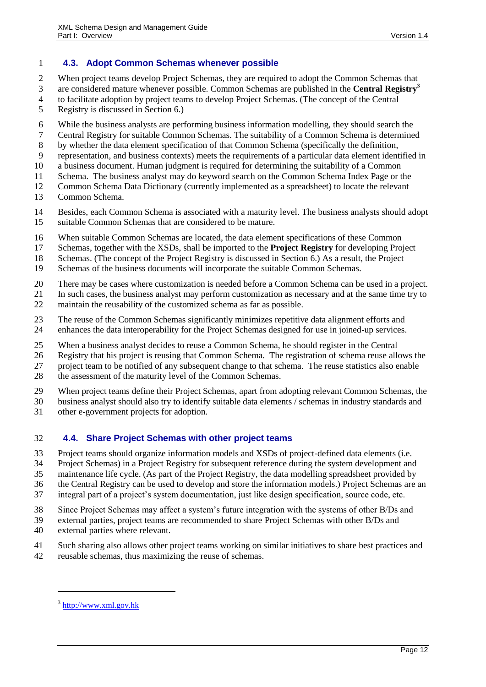#### <span id="page-11-0"></span>**4.3. Adopt Common Schemas whenever possible**

When project teams develop Project Schemas, they are required to adopt the Common Schemas that

are considered mature whenever possible. Common Schemas are published in the **Central Registry<sup>3</sup>** to facilitate adoption by project teams to develop Project Schemas. (The concept of the Central

- Registry is discussed in Section [6.](#page-15-0))
- While the business analysts are performing business information modelling, they should search the
- Central Registry for suitable Common Schemas. The suitability of a Common Schema is determined
- by whether the data element specification of that Common Schema (specifically the definition,
- representation, and business contexts) meets the requirements of a particular data element identified in
- a business document. Human judgment is required for determining the suitability of a Common
- Schema. The business analyst may do keyword search on the Common Schema Index Page or the
- Common Schema Data Dictionary (currently implemented as a spreadsheet) to locate the relevant
- Common Schema.
- Besides, each Common Schema is associated with a maturity level. The business analysts should adopt suitable Common Schemas that are considered to be mature.
- When suitable Common Schemas are located, the data element specifications of these Common
- Schemas, together with the XSDs, shall be imported to the **Project Registry** for developing Project
- Schemas. (The concept of the Project Registry is discussed in Section [6.](#page-15-0)) As a result, the Project
- Schemas of the business documents will incorporate the suitable Common Schemas.
- There may be cases where customization is needed before a Common Schema can be used in a project.
- In such cases, the business analyst may perform customization as necessary and at the same time try to
- maintain the reusability of the customized schema as far as possible.
- The reuse of the Common Schemas significantly minimizes repetitive data alignment efforts and
- enhances the data interoperability for the Project Schemas designed for use in joined-up services.
- When a business analyst decides to reuse a Common Schema, he should register in the Central
- Registry that his project is reusing that Common Schema. The registration of schema reuse allows the
- project team to be notified of any subsequent change to that schema. The reuse statistics also enable
- 28 the assessment of the maturity level of the Common Schemas.
- When project teams define their Project Schemas, apart from adopting relevant Common Schemas, the
- business analyst should also try to identify suitable data elements / schemas in industry standards and
- other e-government projects for adoption.

#### <span id="page-11-1"></span>**4.4. Share Project Schemas with other project teams**

- Project teams should organize information models and XSDs of project-defined data elements (i.e.
- Project Schemas) in a Project Registry for subsequent reference during the system development and
- maintenance life cycle. (As part of the Project Registry, the data modelling spreadsheet provided by
- the Central Registry can be used to develop and store the information models.) Project Schemas are an
- integral part of a project's system documentation, just like design specification, source code, etc.
- Since Project Schemas may affect a system's future integration with the systems of other B/Ds and
- external parties, project teams are recommended to share Project Schemas with other B/Ds and
- external parties where relevant.
- Such sharing also allows other project teams working on similar initiatives to share best practices and
- reusable schemas, thus maximizing the reuse of schemas.

l

<sup>&</sup>lt;sup>3</sup> [http://www.xml.gov.hk](http://www.xml.gov.hk/)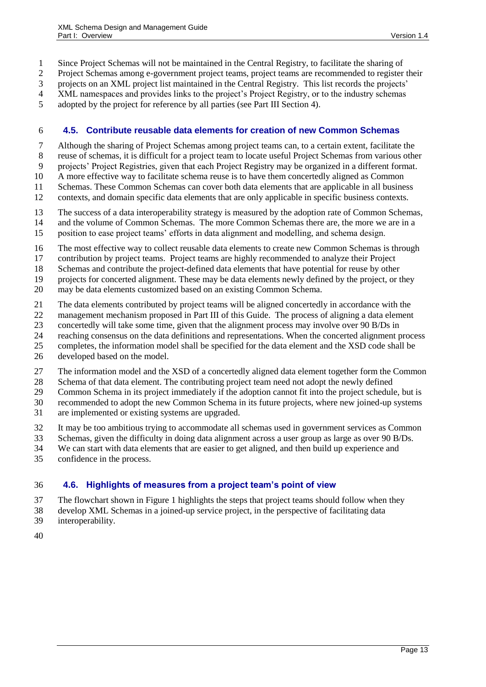Since Project Schemas will not be maintained in the Central Registry, to facilitate the sharing of

Project Schemas among e-government project teams, project teams are recommended to register their

projects on an XML project list maintained in the Central Registry. This list records the projects'

- XML namespaces and provides links to the project's Project Registry, or to the industry schemas
- adopted by the project for reference by all parties (see Part III Section 4).

#### <span id="page-12-0"></span>**4.5. Contribute reusable data elements for creation of new Common Schemas**

Although the sharing of Project Schemas among project teams can, to a certain extent, facilitate the

- reuse of schemas, it is difficult for a project team to locate useful Project Schemas from various other
- projects' Project Registries, given that each Project Registry may be organized in a different format.
- A more effective way to facilitate schema reuse is to have them concertedly aligned as Common
- Schemas. These Common Schemas can cover both data elements that are applicable in all business
- contexts, and domain specific data elements that are only applicable in specific business contexts.
- The success of a data interoperability strategy is measured by the adoption rate of Common Schemas,
- and the volume of Common Schemas. The more Common Schemas there are, the more we are in a
- position to ease project teams' efforts in data alignment and modelling, and schema design.
- The most effective way to collect reusable data elements to create new Common Schemas is through
- contribution by project teams. Project teams are highly recommended to analyze their Project
- Schemas and contribute the project-defined data elements that have potential for reuse by other
- projects for concerted alignment. These may be data elements newly defined by the project, or they
- may be data elements customized based on an existing Common Schema.
- The data elements contributed by project teams will be aligned concertedly in accordance with the
- management mechanism proposed in Part III of this Guide. The process of aligning a data element
- concertedly will take some time, given that the alignment process may involve over 90 B/Ds in
- reaching consensus on the data definitions and representations. When the concerted alignment process
- completes, the information model shall be specified for the data element and the XSD code shall be
- developed based on the model.
- The information model and the XSD of a concertedly aligned data element together form the Common
- Schema of that data element. The contributing project team need not adopt the newly defined
- Common Schema in its project immediately if the adoption cannot fit into the project schedule, but is
- recommended to adopt the new Common Schema in its future projects, where new joined-up systems
- are implemented or existing systems are upgraded.
- It may be too ambitious trying to accommodate all schemas used in government services as Common
- Schemas, given the difficulty in doing data alignment across a user group as large as over 90 B/Ds.
- We can start with data elements that are easier to get aligned, and then build up experience and
- confidence in the process.

## <span id="page-12-1"></span>**4.6. Highlights of measures from a project team's point of view**

- The flowchart shown in [Figure 1](#page-13-0) highlights the steps that project teams should follow when they
- develop XML Schemas in a joined-up service project, in the perspective of facilitating data interoperability.
- 
-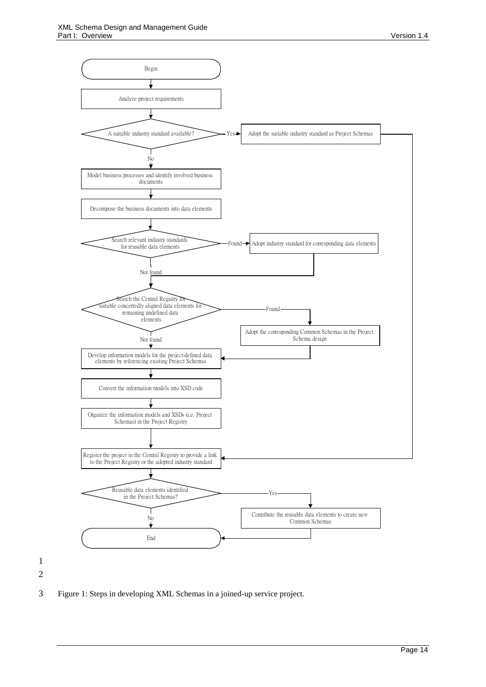

<span id="page-13-0"></span>3 Figure 1: Steps in developing XML Schemas in a joined-up service project.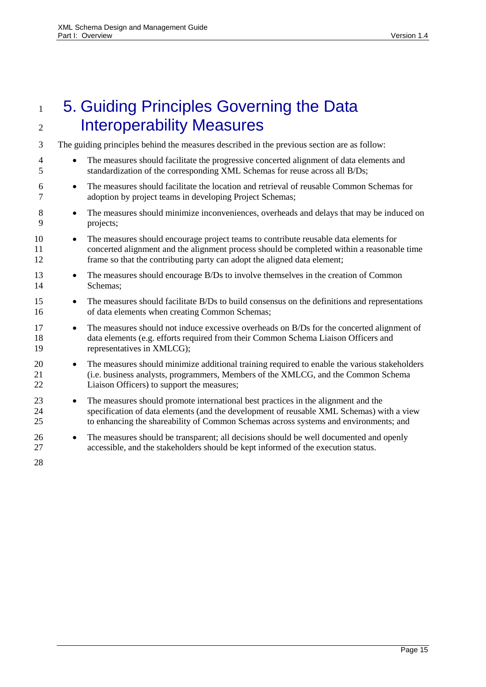<span id="page-14-0"></span>

| 1                   | 5. Guiding Principles Governing the Data                                                                                                                                                                                                                                           |
|---------------------|------------------------------------------------------------------------------------------------------------------------------------------------------------------------------------------------------------------------------------------------------------------------------------|
| 2                   | <b>Interoperability Measures</b>                                                                                                                                                                                                                                                   |
| 3                   | The guiding principles behind the measures described in the previous section are as follow:                                                                                                                                                                                        |
| $\overline{4}$<br>5 | The measures should facilitate the progressive concerted alignment of data elements and<br>$\bullet$<br>standardization of the corresponding XML Schemas for reuse across all B/Ds;                                                                                                |
| 6<br>7              | The measures should facilitate the location and retrieval of reusable Common Schemas for<br>$\bullet$<br>adoption by project teams in developing Project Schemas;                                                                                                                  |
| 8<br>9              | The measures should minimize inconveniences, overheads and delays that may be induced on<br>$\bullet$<br>projects;                                                                                                                                                                 |
| 10<br>11<br>12      | The measures should encourage project teams to contribute reusable data elements for<br>$\bullet$<br>concerted alignment and the alignment process should be completed within a reasonable time<br>frame so that the contributing party can adopt the aligned data element;        |
| 13<br>14            | The measures should encourage B/Ds to involve themselves in the creation of Common<br>$\bullet$<br>Schemas;                                                                                                                                                                        |
| 15<br>16            | The measures should facilitate B/Ds to build consensus on the definitions and representations<br>$\bullet$<br>of data elements when creating Common Schemas;                                                                                                                       |
| 17<br>18<br>19      | The measures should not induce excessive overheads on B/Ds for the concerted alignment of<br>$\bullet$<br>data elements (e.g. efforts required from their Common Schema Liaison Officers and<br>representatives in XMLCG);                                                         |
| 20<br>21<br>22      | The measures should minimize additional training required to enable the various stakeholders<br>$\bullet$<br>(i.e. business analysts, programmers, Members of the XMLCG, and the Common Schema<br>Liaison Officers) to support the measures;                                       |
| 23<br>24<br>25      | The measures should promote international best practices in the alignment and the<br>$\bullet$<br>specification of data elements (and the development of reusable XML Schemas) with a view<br>to enhancing the shareability of Common Schemas across systems and environments; and |
| 26<br>27            | The measures should be transparent; all decisions should be well documented and openly<br>$\bullet$<br>accessible, and the stakeholders should be kept informed of the execution status.                                                                                           |
| 28                  |                                                                                                                                                                                                                                                                                    |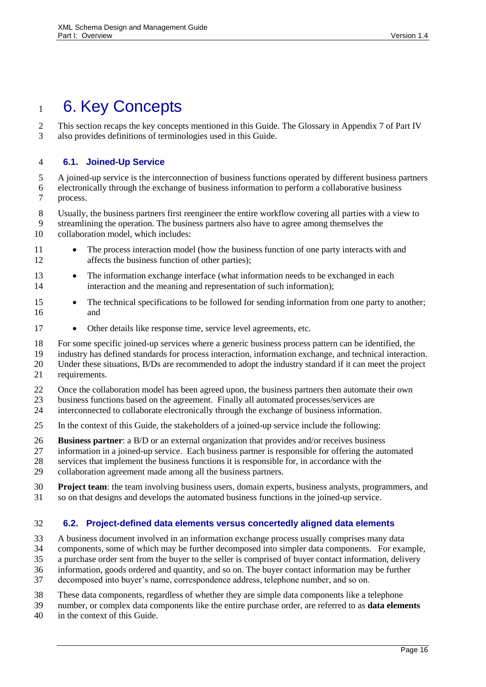# <span id="page-15-0"></span>1 6. Key Concepts

 This section recaps the key concepts mentioned in this Guide. The Glossary in Appendix 7 of Part IV also provides definitions of terminologies used in this Guide.

### <span id="page-15-1"></span>**6.1. Joined-Up Service**

 A joined-up service is the interconnection of business functions operated by different business partners electronically through the exchange of business information to perform a collaborative business process.

Usually, the business partners first reengineer the entire workflow covering all parties with a view to

- streamlining the operation. The business partners also have to agree among themselves the collaboration model, which includes:
- 11 The process interaction model (how the business function of one party interacts with and 12 affects the business function of other parties);
- 13 The information exchange interface (what information needs to be exchanged in each interaction and the meaning and representation of such information);
- 15 The technical specifications to be followed for sending information from one party to another; and
- 17 Other details like response time, service level agreements, etc.
- For some specific joined-up services where a generic business process pattern can be identified, the
- industry has defined standards for process interaction, information exchange, and technical interaction.
- Under these situations, B/Ds are recommended to adopt the industry standard if it can meet the project
- requirements.
- Once the collaboration model has been agreed upon, the business partners then automate their own
- business functions based on the agreement. Finally all automated processes/services are
- interconnected to collaborate electronically through the exchange of business information.
- In the context of this Guide, the stakeholders of a joined-up service include the following:
- **Business partner**: a B/D or an external organization that provides and/or receives business
- information in a joined-up service. Each business partner is responsible for offering the automated
- services that implement the business functions it is responsible for, in accordance with the
- collaboration agreement made among all the business partners.
- **Project team**: the team involving business users, domain experts, business analysts, programmers, and so on that designs and develops the automated business functions in the joined-up service.

#### <span id="page-15-2"></span>**6.2. Project-defined data elements versus concertedly aligned data elements**

- A business document involved in an information exchange process usually comprises many data
- components, some of which may be further decomposed into simpler data components. For example,
- a purchase order sent from the buyer to the seller is comprised of buyer contact information, delivery
- information, goods ordered and quantity, and so on. The buyer contact information may be further
- decomposed into buyer's name, correspondence address, telephone number, and so on.
- These data components, regardless of whether they are simple data components like a telephone
- number, or complex data components like the entire purchase order, are referred to as **data elements**
- in the context of this Guide.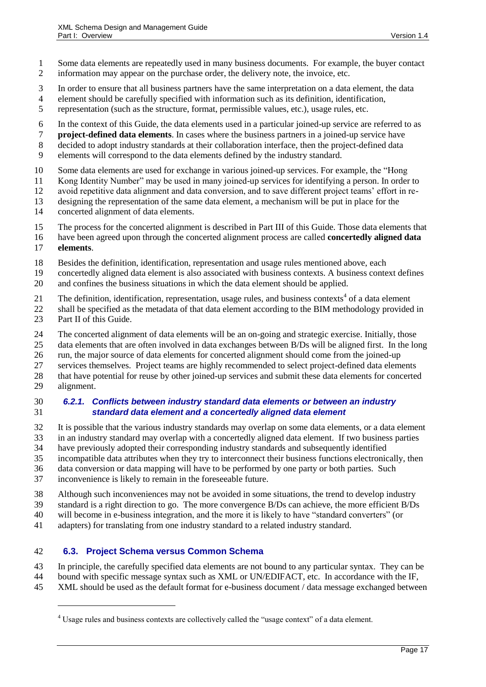- Some data elements are repeatedly used in many business documents. For example, the buyer contact information may appear on the purchase order, the delivery note, the invoice, etc.
- In order to ensure that all business partners have the same interpretation on a data element, the data
- element should be carefully specified with information such as its definition, identification,
- representation (such as the structure, format, permissible values, etc.), usage rules, etc.
- In the context of this Guide, the data elements used in a particular joined-up service are referred to as
- **project-defined data elements**. In cases where the business partners in a joined-up service have
- decided to adopt industry standards at their collaboration interface, then the project-defined data
- elements will correspond to the data elements defined by the industry standard.
- Some data elements are used for exchange in various joined-up services. For example, the "Hong
- Kong Identity Number" may be used in many joined-up services for identifying a person. In order to
- avoid repetitive data alignment and data conversion, and to save different project teams' effort in re-
- designing the representation of the same data element, a mechanism will be put in place for the concerted alignment of data elements.
- The process for the concerted alignment is described in Part III of this Guide. Those data elements that
- have been agreed upon through the concerted alignment process are called **concertedly aligned data**
- **elements**.

 $\overline{a}$ 

- Besides the definition, identification, representation and usage rules mentioned above, each
- concertedly aligned data element is also associated with business contexts. A business context defines and confines the business situations in which the data element should be applied.
- 21 The definition, identification, representation, usage rules, and business contexts<sup>4</sup> of a data element
- shall be specified as the metadata of that data element according to the BIM methodology provided in 23 Part II of this Guide.
- 
- The concerted alignment of data elements will be an on-going and strategic exercise. Initially, those
- data elements that are often involved in data exchanges between B/Ds will be aligned first. In the long
- run, the major source of data elements for concerted alignment should come from the joined-up
- services themselves. Project teams are highly recommended to select project-defined data elements
- that have potential for reuse by other joined-up services and submit these data elements for concerted alignment.

### *6.2.1. Conflicts between industry standard data elements or between an industry standard data element and a concertedly aligned data element*

- It is possible that the various industry standards may overlap on some data elements, or a data element
- in an industry standard may overlap with a concertedly aligned data element. If two business parties
- have previously adopted their corresponding industry standards and subsequently identified
- incompatible data attributes when they try to interconnect their business functions electronically, then
- data conversion or data mapping will have to be performed by one party or both parties. Such
- inconvenience is likely to remain in the foreseeable future.
- Although such inconveniences may not be avoided in some situations, the trend to develop industry
- standard is a right direction to go. The more convergence B/Ds can achieve, the more efficient B/Ds
- will become in e-business integration, and the more it is likely to have "standard converters" (or
- adapters) for translating from one industry standard to a related industry standard.

## <span id="page-16-0"></span>**6.3. Project Schema versus Common Schema**

 In principle, the carefully specified data elements are not bound to any particular syntax. They can be bound with specific message syntax such as XML or UN/EDIFACT, etc. In accordance with the IF,

XML should be used as the default format for e-business document / data message exchanged between

Usage rules and business contexts are collectively called the "usage context" of a data element.